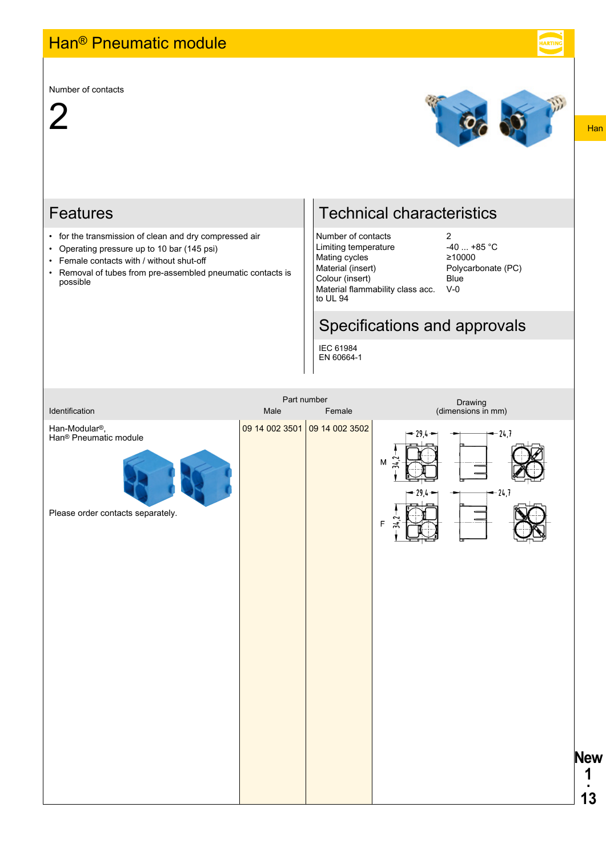## Han® Pneumatic module

Number of contacts





## Features

- for the transmission of clean and dry compressed air
- Operating pressure up to 10 bar (145 psi)
- Female contacts with / without shut-off
- Removal of tubes from pre-assembled pneumatic contacts is possible

## Technical characteristics

Number of contacts<br>
Limiting temperature 40 ... +85 °C Limiting temperature -40 ... +8<br>Mating cycles 210000 Mating cycles Material (insert) Polycarbonate (PC) Colour (insert) Blue Material flammability class acc. to UL 94

V-0

## Specifications and approvals

IEC 61984 EN 60664-1



Han